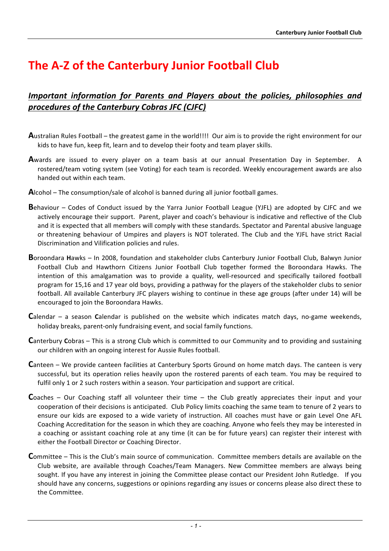## **The A-Z of the Canterbury Junior Football Club**

## *Important information for Parents and Players about the policies, philosophies and procedures of the Canterbury Cobras JFC (CJFC)*

- **A**ustralian Rules Football the greatest game in the world!!!! Our aim is to provide the right environment for our kids to have fun, keep fit, learn and to develop their footy and team player skills.
- **A**wards are issued to every player on a team basis at our annual Presentation Day in September. A rostered/team voting system (see Voting) for each team is recorded. Weekly encouragement awards are also handed out within each team.
- **A**lcohol The consumption/sale of alcohol is banned during all junior football games.
- **B**ehaviour Codes of Conduct issued by the Yarra Junior Football League (YJFL) are adopted by CJFC and we actively encourage their support. Parent, player and coach's behaviour is indicative and reflective of the Club and it is expected that all members will comply with these standards. Spectator and Parental abusive language or threatening behaviour of Umpires and players is NOT tolerated. The Club and the YJFL have strict Racial Discrimination and Vilification policies and rules.
- **B**oroondara Hawks In 2008, foundation and stakeholder clubs Canterbury Junior Football Club, Balwyn Junior Football Club and Hawthorn Citizens Junior Football Club together formed the Boroondara Hawks. The intention of this amalgamation was to provide a quality, well-resourced and specifically tailored football program for 15,16 and 17 year old boys, providing a pathway for the players of the stakeholder clubs to senior football. All available Canterbury JFC players wishing to continue in these age groups (after under 14) will be encouraged to join the Boroondara Hawks.
- **C**alendar a season **C**alendar is published on the website which indicates match days, no-game weekends, holiday breaks, parent-only fundraising event, and social family functions.
- **Canterbury Cobras This is a strong Club which is committed to our Community and to providing and sustaining** our children with an ongoing interest for Aussie Rules football.
- **C**anteen We provide canteen facilities at Canterbury Sports Ground on home match days. The canteen is very successful, but its operation relies heavily upon the rostered parents of each team. You may be required to fulfil only 1 or 2 such rosters within a season. Your participation and support are critical.
- **Coaches Our Coaching staff all volunteer their time the Club greatly appreciates their input and your** cooperation of their decisions is anticipated. Club Policy limits coaching the same team to tenure of 2 years to ensure our kids are exposed to a wide variety of instruction. All coaches must have or gain Level One AFL Coaching Accreditation for the season in which they are coaching. Anyone who feels they may be interested in a coaching or assistant coaching role at any time (it can be for future years) can register their interest with either the Football Director or Coaching Director.
- **C**ommittee This is the Club's main source of communication. Committee members details are available on the Club website, are available through Coaches/Team Managers. New Committee members are always being sought. If you have any interest in joining the Committee please contact our President John Rutledge. If you should have any concerns, suggestions or opinions regarding any issues or concerns please also direct these to the Committee.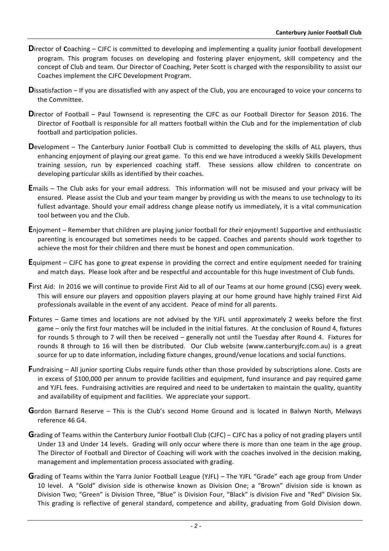- **D**irector of Coaching CJFC is committed to developing and implementing a quality junior football development program. This program focuses on developing and fostering player enjoyment, skill competency and the concept of Club and team. Our Director of Coaching, Peter Scott is charged with the responsibility to assist our Coaches implement the CJFC Development Program.
- Dissatisfaction If you are dissatisfied with any aspect of the Club, you are encouraged to voice your concerns to the Committee.
- **Director** of Football Paul Townsend is representing the CJFC as our Football Director for Season 2016. The Director of Football is responsible for all matters football within the Club and for the implementation of club football and participation policies.
- **D**evelopment The Canterbury Junior Football Club is committed to developing the skills of ALL players, thus enhancing enjoyment of playing our great game. To this end we have introduced a weekly Skills Development training session, run by experienced coaching staff. These sessions allow children to concentrate on developing particular skills as identified by their coaches.
- **E**mails The Club asks for your email address. This information will not be misused and your privacy will be ensured. Please assist the Club and your team manger by providing us with the means to use technology to its fullest advantage. Should your email address change please notify us immediately, it is a vital communication tool between you and the Club.
- **E**njoyment Remember that children are playing junior football for their enjoyment! Supportive and enthusiastic parenting is encouraged but sometimes needs to be capped. Coaches and parents should work together to achieve the most for their children and there must be honest and open communication.
- **E**quipment CJFC has gone to great expense in providing the correct and entire equipment needed for training and match days. Please look after and be respectful and accountable for this huge investment of Club funds.
- **First Aid:** In 2016 we will continue to provide First Aid to all of our Teams at our home ground (CSG) every week. This will ensure our players and opposition players playing at our home ground have highly trained First Aid professionals available in the event of any accident. Peace of mind for all parents.
- **Fixtures** Game times and locations are not advised by the YJFL until approximately 2 weeks before the first game – only the first four matches will be included in the initial fixtures. At the conclusion of Round 4, fixtures for rounds 5 through to 7 will then be received  $-$  generally not until the Tuesday after Round 4. Fixtures for rounds 8 through to 16 will then be distributed. Our Club website (www.canterburyjfc.com.au) is a great source for up to date information, including fixture changes, ground/venue locations and social functions.
- **F**undraising All junior sporting Clubs require funds other than those provided by subscriptions alone. Costs are in excess of \$100,000 per annum to provide facilities and equipment, fund insurance and pay required game and YJFL fees. Fundraising activities are required and need to be undertaken to maintain the quality, quantity and availability of equipment and facilities. We appreciate your support.
- Gordon Barnard Reserve This is the Club's second Home Ground and is located in Balwyn North, Melways reference 46 G4.
- **G**rading of Teams within the Canterbury Junior Football Club (CJFC) CJFC has a policy of not grading players until Under 13 and Under 14 levels. Grading will only occur where there is more than one team in the age group. The Director of Football and Director of Coaching will work with the coaches involved in the decision making, management and implementation process associated with grading.
- **G**rading of Teams within the Yarra Junior Football League (YJFL) The YJFL "Grade" each age group from Under 10 level. A "Gold" division side is otherwise known as Division One; a "Brown" division side is known as Division Two; "Green" is Division Three, "Blue" is Division Four, "Black" is division Five and "Red" Division Six. This grading is reflective of general standard, competence and ability, graduating from Gold Division down.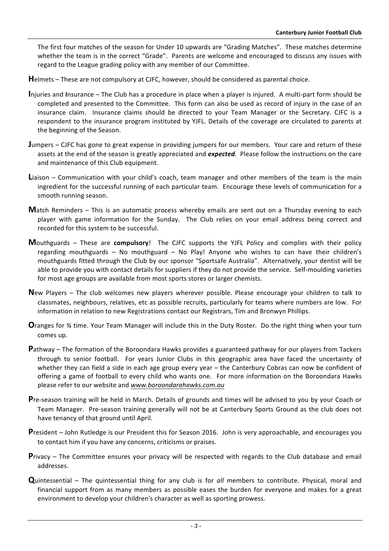The first four matches of the season for Under 10 upwards are "Grading Matches". These matches determine whether the team is in the correct "Grade". Parents are welcome and encouraged to discuss any issues with regard to the League grading policy with any member of our Committee.

Helmets – These are not compulsory at CJFC, however, should be considered as parental choice.

- **I**njuries and Insurance The Club has a procedure in place when a player is injured. A multi-part form should be completed and presented to the Committee. This form can also be used as record of injury in the case of an insurance claim. Insurance claims should be directed to your Team Manager or the Secretary. CJFC is a respondent to the insurance program instituted by YJFL. Details of the coverage are circulated to parents at the beginning of the Season.
- **Jumpers** CJFC has gone to great expense in providing jumpers for our members. Your care and return of these assets at the end of the season is greatly appreciated and **expected**. Please follow the instructions on the care and maintenance of this Club equipment.
- **L**iaison Communication with your child's coach, team manager and other members of the team is the main ingredient for the successful running of each particular team. Encourage these levels of communication for a smooth running season.
- **M**atch Reminders This is an automatic process whereby emails are sent out on a Thursday evening to each player with game information for the Sunday. The Club relies on your email address being correct and recorded for this system to be successful.
- **M**outhguards These are **compulsory**! The CJFC supports the YJFL Policy and complies with their policy regarding mouthguards – No mouthguard – No Play! Anyone who wishes to can have their children's mouthguards fitted through the Club by our sponsor "Sportsafe Australia". Alternatively, your dentist will be able to provide you with contact details for suppliers if they do not provide the service. Self-moulding varieties for most age groups are available from most sports stores or larger chemists.
- **New** Players The club welcomes new players wherever possible. Please encourage your children to talk to classmates, neighbours, relatives, etc as possible recruits, particularly for teams where numbers are low. For information in relation to new Registrations contact our Registrars, Tim and Bronwyn Phillips.
- **O**ranges for <sup>3</sup>/<sub>4</sub> time. Your Team Manager will include this in the Duty Roster. Do the right thing when your turn comes up.
- **P**athway The formation of the Boroondara Hawks provides a guaranteed pathway for our players from Tackers through to senior football. For years Junior Clubs in this geographic area have faced the uncertainty of whether they can field a side in each age group every year - the Canterbury Cobras can now be confident of offering a game of football to every child who wants one. For more information on the Boroondara Hawks please refer to our website and www.boroondarahawks.com.au
- **Pre-season training will be held in March. Details of grounds and times will be advised to you by your Coach or** Team Manager. Pre-season training generally will not be at Canterbury Sports Ground as the club does not have tenancy of that ground until April.
- **President** John Rutledge is our President this for Season 2016. John is very approachable, and encourages you to contact him if you have any concerns, criticisms or praises.
- **Privacy** The Committee ensures your privacy will be respected with regards to the Club database and email addresses.
- **Q**uintessential The quintessential thing for any club is for *all* members to contribute. Physical, moral and financial support from as many members as possible eases the burden for everyone and makes for a great environment to develop your children's character as well as sporting prowess.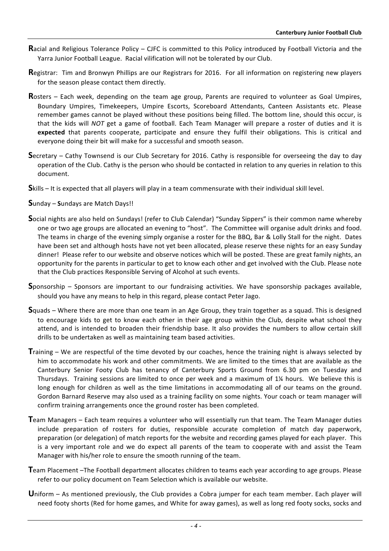- **R**acial and Religious Tolerance Policy CJFC is committed to this Policy introduced by Football Victoria and the Yarra Junior Football League. Racial vilification will not be tolerated by our Club.
- **Registrar:** Tim and Bronwyn Phillips are our Registrars for 2016. For all information on registering new players for the season please contact them directly.
- **R**osters Each week, depending on the team age group, Parents are required to volunteer as Goal Umpires, Boundary Umpires, Timekeepers, Umpire Escorts, Scoreboard Attendants, Canteen Assistants etc. Please remember games cannot be played without these positions being filled. The bottom line, should this occur, is that the kids will *NOT* get a game of football. Each Team Manager will prepare a roster of duties and it is expected that parents cooperate, participate and ensure they fulfil their obligations. This is critical and everyone doing their bit will make for a successful and smooth season.
- **S**ecretary Cathy Townsend is our Club Secretary for 2016. Cathy is responsible for overseeing the day to day operation of the Club. Cathy is the person who should be contacted in relation to any queries in relation to this document.
- **S**kills It is expected that all players will play in a team commensurate with their individual skill level.

**S**unday – **Sundays** are Match Days!!

- **S**ocial nights are also held on Sundays! (refer to Club Calendar) "Sunday Sippers" is their common name whereby one or two age groups are allocated an evening to "host". The Committee will organise adult drinks and food. The teams in charge of the evening simply organise a roster for the BBQ, Bar & Lolly Stall for the night. Dates have been set and although hosts have not yet been allocated, please reserve these nights for an easy Sunday dinner! Please refer to our website and observe notices which will be posted. These are great family nights, an opportunity for the parents in particular to get to know each other and get involved with the Club. Please note that the Club practices Responsible Serving of Alcohol at such events.
- **S**ponsorship Sponsors are important to our fundraising activities. We have sponsorship packages available, should you have any means to help in this regard, please contact Peter Jago.
- **S**quads Where there are more than one team in an Age Group, they train together as a squad. This is designed to encourage kids to get to know each other in their age group within the Club, despite what school they attend, and is intended to broaden their friendship base. It also provides the numbers to allow certain skill drills to be undertaken as well as maintaining team based activities.
- **Training** We are respectful of the time devoted by our coaches, hence the training night is always selected by him to accommodate his work and other commitments. We are limited to the times that are available as the Canterbury Senior Footy Club has tenancy of Canterbury Sports Ground from 6.30 pm on Tuesday and Thursdays. Training sessions are limited to once per week and a maximum of  $1\frac{1}{2}$  hours. We believe this is long enough for children as well as the time limitations in accommodating all of our teams on the ground. Gordon Barnard Reserve may also used as a training facility on some nights. Your coach or team manager will confirm training arrangements once the ground roster has been completed.
- **T**eam Managers Each team requires a volunteer who will essentially run that team. The Team Manager duties include preparation of rosters for duties, responsible accurate completion of match day paperwork, preparation (or delegation) of match reports for the website and recording games played for each player. This is a very important role and we do expect all parents of the team to cooperate with and assist the Team Manager with his/her role to ensure the smooth running of the team.
- Team Placement -The Football department allocates children to teams each year according to age groups. Please refer to our policy document on Team Selection which is available our website.
- **U**niform As mentioned previously, the Club provides a Cobra jumper for each team member. Each player will need footy shorts (Red for home games, and White for away games), as well as long red footy socks, socks and